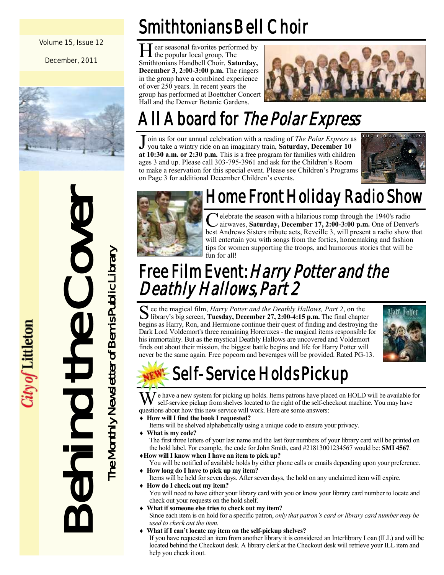Volume 15, Issue 12

December, 2011



# Behind the Cover The Monthly Newsletter of Bemis Public Library The Monthly Newsletter of Bemis Public Library  $\equiv$

ity of Littleton

Smithtonians Bell Choir

He popular local group, The ear seasonal favorites performed by Smithtonians Handbell Choir, **Saturday, December 3, 2:00-3:00 p.m.** The ringers in the group have a combined experience of over 250 years. In recent years the group has performed at Boettcher Concert Hall and the Denver Botanic Gardens.



## All Aboard for The Polar Express

J oin us for our annual celebration with a reading of *The Polar Express* as you take a wintry ride on an imaginary train, **Saturday, December 10 at 10:30 a.m. or 2:30 p.m.** This is a free program for families with children ages 3 and up. Please call 303-795-3961 and ask for the Children"s Room to make a reservation for this special event. Please see Children"s Programs on Page 3 for additional December Children"s events.





#### Home Front Holiday Radio Show

C elebrate the season with a hilarious romp through the 1940's radio<br>airwaves, Saturday, December 17, 2:00-3:00 p.m. One of Denve airwaves, **Saturday, December 17, 2:00-3:00 p.m.** One of Denver's best Andrews Sisters tribute acts, Reveille 3, will present a radio show that will entertain you with songs from the forties, homemaking and fashion tips for women supporting the troops, and humorous stories that will be fun for all!

#### Free Film Event: Harry Potter and the Deathly Hallows, Part 2

See the magical film, *Harry Potter and the Deathly Hallows, Part 2*, on the library's big screen, **Tuesday, December 27, 2:00-4:15 p.m.** The final chapter  $\bf{C}$  ee the magical film, *Harry Potter and the Deathly Hallows, Part 2*, on the begins as Harry, Ron, and Hermione continue their quest of finding and destroying the Dark Lord Voldemort's three remaining Horcruxes - the magical items responsible for his immortality. But as the mystical Deathly Hallows are uncovered and Voldemort finds out about their mission, the biggest battle begins and life for Harry Potter will never be the same again. Free popcorn and beverages will be provided. Rated PG-13.



## **NEW!-** Self-Service Holds Pickup

We have a new system for picking up holds. Items patrons have placed on HOLD will be available for self-service pickup from shelves located to the right of the self-checkout machine. You may have questions about how this new service will work. Here are some answers:

- **How will I find the book I requested?**
- Items will be shelved alphabetically using a unique code to ensure your privacy. **What is my code?**
- The first three letters of your last name and the last four numbers of your library card will be printed on the hold label. For example, the code for John Smith, card #21813001234567 would be: **SMI 4567**.
- **How will I know when I have an item to pick up?**
- You will be notified of available holds by either phone calls or emails depending upon your preference. **How long do I have to pick up my item?**
- Items will be held for seven days. After seven days, the hold on any unclaimed item will expire. **How do I check out my item?**
- You will need to have either your library card with you or know your library card number to locate and check out your requests on the hold shelf.
- **What if someone else tries to check out my item?** Since each item is on hold for a specific patron, *only that patron's card or library card number may be used to check out the item.*
- **What if I can't locate my item on the self-pickup shelves?** If you have requested an item from another library it is considered an Interlibrary Loan (ILL) and will be located behind the Checkout desk. A library clerk at the Checkout desk will retrieve your ILL item and help you check it out.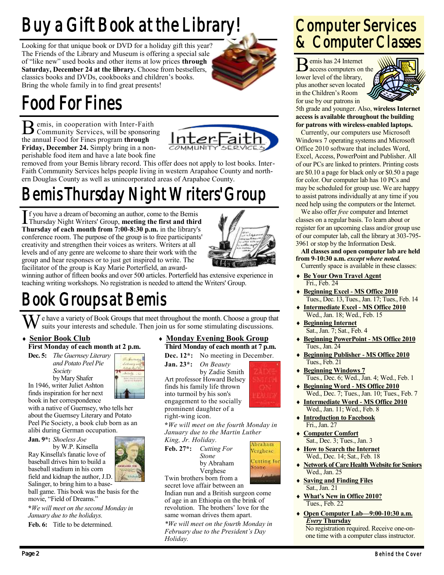## Buy a Gift Book at the Library!

Looking for that unique book or DVD for a holiday gift this year? The Friends of the Library and Museum is offering a special sale of "like new" used books and other items at low prices **through Saturday, December 24 at the library.** Choose from bestsellers, classics books and DVDs, cookbooks and children"s books. Bring the whole family in to find great presents!



## Food For Fines

B emis, in cooperation with Inter-Faith<br>Community Services, will be sponsoring emis, in cooperation with Inter-Faith the annual Food for Fines program **through Friday, December 24.** Simply bring in a nonperishable food item and have a late book fine



removed from your Bemis library record. This offer does not apply to lost books. Inter-Faith Community Services helps people living in western Arapahoe County and northern Douglas County as well as unincorporated areas of Arapahoe County.

## Bemis Thursday Night Writers' Group

If you have a dream of becoming an author, come to the Bemis<br>Thursday Night Writers' Group, **meeting the first and third** f you have a dream of becoming an author, come to the Bemis **Thursday of each month from 7:00-8:30 p.m.** in the library's conference room. The purpose of the group is to free participants' creativity and strengthen their voices as writers. Writers at all levels and of any genre are welcome to share their work with the group and hear responses or to just get inspired to write. The facilitator of the group is Kay Marie Porterfield, an award-



winning author of fifteen books and over 500 articles. Porterfield has extensive experience in teaching writing workshops. No registration is needed to attend the Writers' Group.

### Book Groups at Bemis

We have a variety of Book Groups that meet throughout the month. Choose a group that suits your interests and schedule. Then join us for some stimulating discussions.

#### **Senior Book Club First Monday of each month at 2 p.m.**

**Dec. 5:** *The Guernsey Literary and Potato Peel Pie Society* by Mary Shafer In 1946, writer Juliet Ashton

finds inspiration for her next



book in her correspondence with a native of Guernsey, who tells her about the Guernsey Literary and Potato Peel Pie Society, a book club born as an alibi during German occupation.

**Jan. 9\*:** *Shoeless Joe*

by W.P. Kinsella Ray Kinsella's fanatic love of baseball drives him to build a baseball stadium in his corn field and kidnap the author, J.D. Salinger, to bring him to a base-

ball game. This book was the basis for the movie, "Field of Dreams."

**\****We will meet on the second Monday in January due to the holidays.*

**Feb. 6:** Title to be determined.

#### **Monday Evening Book Group Third Monday of each month at 7 p.m.**

**Dec. 12\*:** No meeting in December.

**Jan. 23\*:** *On Beauty* by Zadie Smith Art professor Howard Belsey finds his family life thrown into turmoil by his son's engagement to the socially prominent daughter of a right-wing icon.



**\****We will meet on the fourth Monday in January due to the Martin Luther* 

*King, Jr. Holiday.* **Feb. 27\*:** *Cutting For Stone* by Abraham



Twin brothers born from a

Verghese

secret love affair between an Indian nun and a British surgeon come of age in an Ethiopia on the brink of revolution. The brothers' love for the same woman drives them apart.

*\*We will meet on the fourth Monday in February due to the President's Day Holiday.*

#### Computer Services & Computer Classes

**B** emis has 24 Internet emis has 24 Internet lower level of the library, plus another seven located in the Children's Room for use by our patrons in



5th grade and younger. Also, **wireless Internet access is available throughout the building for patrons with wireless-enabled laptops.**

Currently, our computers use Microsoft Windows 7 operating systems and Microsoft Office 2010 software that includes Word, Excel, Access, PowerPoint and Publisher. All of our PCs are linked to printers. Printing costs are \$0.10 a page for black only or \$0.50 a page for color. Our computer lab has 10 PCs and may be scheduled for group use. We are happy to assist patrons individually at any time if you need help using the computers or the Internet.

We also offer *free* computer and Internet classes on a regular basis. To learn about or register for an upcoming class and/or group use of our computer lab, call the library at 303-795- 3961 or stop by the Information Desk.

**All classes and open computer lab are held from 9-10:30 a.m.** *except where noted.* Currently space is available in these classes:

- **Be Your Own Travel Agent** Fri., Feb. 24
- **Beginning Excel - MS Office 2010** Tues., Dec. 13, Tues., Jan. 17; Tues., Feb. 14
- **Intermediate Excel - MS Office 2010** Wed., Jan. 18; Wed., Feb. 15
- **Beginning Internet** Sat., Jan. 7; Sat., Feb. 4
- **Beginning PowerPoint - MS Office 2010** Tues., Jan. 24
- **Beginning Publisher - MS Office 2010** Tues., Feb. 21
- **Beginning Windows 7** Tues., Dec. 6; Wed., Jan. 4; Wed., Feb. 1
- **Beginning Word - MS Office 2010** Wed., Dec. 7; Tues., Jan. 10; Tues., Feb. 7
- **Intermediate Word - MS Office 2010** Wed., Jan. 11; Wed., Feb. 8
- **Introduction to Facebook** Fri., Jan. 27
- **Computer Comfort** Sat., Dec. 3; Tues., Jan. 3
- **How to Search the Internet** Wed., Dec. 14; Sat., Feb. 18
- **Network of Care Health Website for Seniors** Wed., Jan. 25
- **Saving and Finding Files** Sat., Jan. 21
- **What's New in Office 2010?** Tues., Feb. 22
- **Open Computer Lab—9:00-10:30 a.m.** *Every* **Thursday** No registration required. Receive one-onone time with a computer class instructor.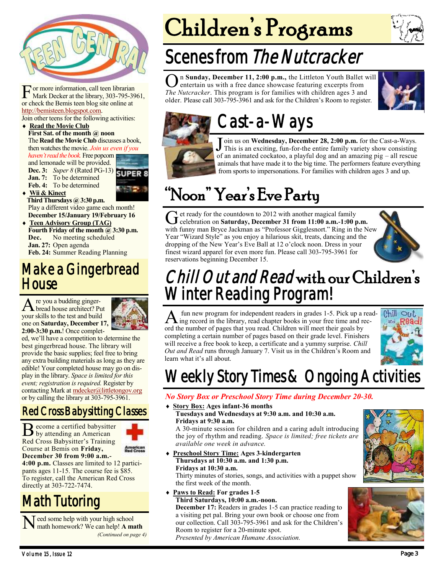

For more information, call teen librarian<br>Mark Decker at the library, 303-795-39<br>or check the Bemis teen blog site online at or more information, call teen librarian Mark Decker at the library, 303-795-3961, [http://bemisteen.blogspot.com.](http://bemisteen.blogspot.com)

Join other teens for the following activities:

#### ◆ Read the Movie Club

**First Sat. of the month @ noon** The **Read the Movie Club** discusses a book, then watches the movie. *Join us even if you*

*haven't read the book.* Free popcorn and lemonade will be provided. **Dec. 3:** *Super 8* (Rated PG-13) **Jan. 7:** To be determined **Feb. 4:** To be determined

 **Wii & Kinect Third Thursdays @ 3:30 p.m.** Play a different video game each month!

**December 15/January 19/February 16 Teen Advisory Group (TAG) Fourth Friday of the month @ 3:30 p.m. Dec.** No meeting scheduled **Jan. 27:** Open agenda **Feb. 24:** Summer Reading Planning

#### Make a Gingerbread **House**

A re you a budding ginger-<br>bread house architect? Put re you a budding gingeryour skills to the test and build one on **Saturday, December 17, 2:00-3:30 p.m.**! Once complet-



ed, we"ll have a competition to determine the best gingerbread house. The library will provide the basic supplies; feel free to bring any extra building materials as long as they are edible! Your completed house may go on display in the library. *Space is limited for this event; registration is required.* Register by contacting Mark at [mdecker@littletongov.org](mailto:mdecker@littletongov.org) or by calling the library at 303-795-3961.

#### Red Cross Babysitting Classes

Become a certified babysitter by attending an American Red Cross Babysitter's Training Course at Bemis on **Friday,**

**December 30 from 9:00 a.m.- 4:00 p.m.** Classes are limited to 12 participants ages 11-15. The course fee is \$85. To register, call the American Red Cross directly at 303-722-7474.

#### Math Tutoring

Need some help with your high school<br>math homework? We can help! A ma math homework? We can help! **A math** *(Continued on page 4)*

# Children's Programs

## Scenes from The Nutcracker

**O**n Sunday, December 11, 2:00 p.m., the Littleton Youth Ballet w entertain us with a free dance showcase featuring excerpts from *The Nutcracker*. This program is for families with children ages 3 and n **Sunday, December 11, 2:00 p.m.,** the Littleton Youth Ballet will entertain us with a free dance showcase featuring excerpts from older. Please call 303-795-3961 and ask for the Children"s Room to register.





### Cast-a-Ways

Join us on **Wednesday, December 28, 2:00 p.m.** for the Cast-a-Ways.<br>This is an exciting, fun-for-the entire family variety show consisting This is an exciting, fun-for-the entire family variety show consisting of an animated cockatoo, a playful dog and an amazing pig – all rescue animals that have made it to the big time. The performers feature everything from sports to impersonations. For families with children ages 3 and up.

## "Noon" Year's Eve Party

Get ready for the countdown to 2012 with another magical family<br>celebration on **Saturday, December 31 from 11:00 a.m.-1:00 p.m.** et ready for the countdown to 2012 with another magical family with funny man Bryce Jackman as "Professor Gigglesnort." Ring in the New Year "Wizard Style" as you enjoy a hilarious skit, treats, dancing and the dropping of the New Year"s Eve Ball at 12 o"clock noon. Dress in your finest wizard apparel for even more fun. Please call 303-795-3961 for reservations beginning December 15.



#### Chill Out and Read with our Children's Winter Reading Program!

A fun new program for independent readers in grades 1-5. Pick up a rea<br>
A fun grecord in the library, read chapter books in your free time and recfun new program for independent readers in grades 1-5. Pick up a readord the number of pages that you read. Children will meet their goals by completing a certain number of pages based on their grade level. Finishers will receive a free book to keep, a certificate and a yummy surprise. *Chill Out and Read* runs through January 7. Visit us in the Children"s Room and learn what it's all about.



## Weekly Story Times & Ongoing Activities

#### *No Story Box or Preschool Story Time during December 20-30.*

#### **Story Box: Ages infant-36 months**

#### **Tuesdays and Wednesdays at 9:30 a.m. and 10:30 a.m. Fridays at 9:30 a.m.**

A 30-minute session for children and a caring adult introducing the joy of rhythm and reading. *Space is limited; free tickets are available one week in advance.*

 **Preschool Story Time: Ages 3-kindergarten Thursdays at 10:30 a.m. and 1:30 p.m. Fridays at 10:30 a.m.**

Thirty minutes of stories, songs, and activities with a puppet show the first week of the month.

 **Paws to Read: For grades 1-5 Third Saturdays, 10:00 a.m.-noon.**

**December 17:** Readers in grades 1-5 can practice reading to a visiting pet pal. Bring your own book or choose one from our collection. Call 303-795-3961 and ask for the Children"s Room to register for a 20-minute spot. *Presented by American Humane Association.*